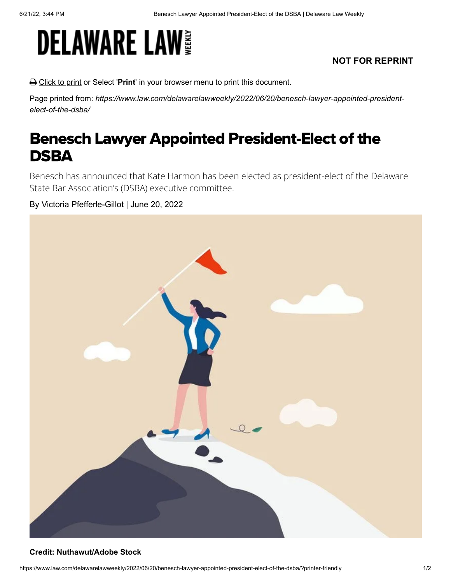# **DELAWARE LAW**

## **NOT FOR REPRINT**

Click to print or Select '**Print**' in your browser menu to print this document.

Page printed from: *https://www.law.com/delawarelawweekly/2022/06/20/benesch-lawyer-appointed-presidentelect-of-the-dsba/*

## Benesch Lawyer Appointed President-Elect of the **DSBA**

Benesch has announced that Kate Harmon has been elected as president-elect of the Delaware State Bar Association's (DSBA) executive committee.

### By Victoria Pfefferle-Gillot | June 20, 2022



#### **Credit: Nuthawut/Adobe Stock**